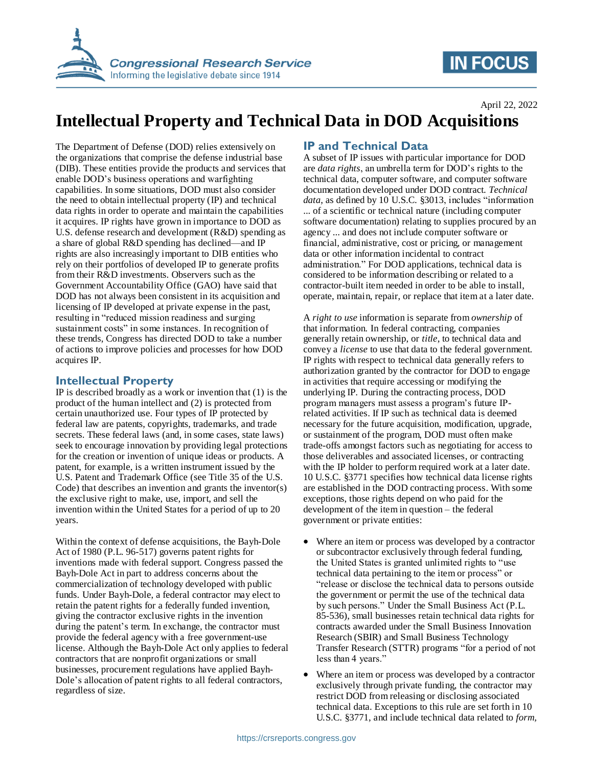

# **IN FOCUS**

April 22, 2022

## **Intellectual Property and Technical Data in DOD Acquisitions**

The Department of Defense (DOD) relies extensively on the organizations that comprise the defense industrial base (DIB). These entities provide the products and services that enable DOD's business operations and warfighting capabilities. In some situations, DOD must also consider the need to obtain intellectual property (IP) and technical data rights in order to operate and maintain the capabilities it acquires. IP rights have grown in importance to DOD as U.S. defense research and development (R&D) spending as a share of global R&D spending has declined—and IP rights are also increasingly important to DIB entities who rely on their portfolios of developed IP to generate profits from their R&D investments. Observers such as the Government Accountability Office (GAO) have said that DOD has not always been consistent in its acquisition and licensing of IP developed at private expense in the past, resulting in "reduced mission readiness and surging sustainment costs" in some instances. In recognition of these trends, Congress has directed DOD to take a number of actions to improve policies and processes for how DOD acquires IP.

### **Intellectual Property**

IP is described broadly as a work or invention that  $(1)$  is the product of the human intellect and (2) is protected from certain unauthorized use. Four types of IP protected by federal law are patents, copyrights, trademarks, and trade secrets. These federal laws (and, in some cases, state laws) seek to encourage innovation by providing legal protections for the creation or invention of unique ideas or products. A patent, for example, is a written instrument issued by the U.S. Patent and Trademark Office (see Title 35 of the U.S. Code) that describes an invention and grants the inventor(s) the exclusive right to make, use, import, and sell the invention within the United States for a period of up to 20 years.

Within the context of defense acquisitions, the Bayh-Dole Act of 1980 (P.L. 96-517) governs patent rights for inventions made with federal support. Congress passed the Bayh-Dole Act in part to address concerns about the commercialization of technology developed with public funds. Under Bayh-Dole, a federal contractor may elect to retain the patent rights for a federally funded invention, giving the contractor exclusive rights in the invention during the patent's term. In exchange, the contractor must provide the federal agency with a free government-use license. Although the Bayh-Dole Act only applies to federal contractors that are nonprofit organizations or small businesses, procurement regulations have applied Bayh-Dole's allocation of patent rights to all federal contractors, regardless of size.

## **IP and Technical Data**

A subset of IP issues with particular importance for DOD are *data rights*, an umbrella term for DOD's rights to the technical data, computer software, and computer software documentation developed under DOD contract. *Technical data*, as defined by 10 U.S.C. §3013, includes "information ... of a scientific or technical nature (including computer software documentation) relating to supplies procured by an agency ... and does not include computer software or financial, administrative, cost or pricing, or management data or other information incidental to contract administration." For DOD applications, technical data is considered to be information describing or related to a contractor-built item needed in order to be able to install, operate, maintain, repair, or replace that item at a later date.

A *right to use* information is separate from *ownership* of that information. In federal contracting, companies generally retain ownership, or *title*, to technical data and convey a *license* to use that data to the federal government. IP rights with respect to technical data generally refers to authorization granted by the contractor for DOD to engage in activities that require accessing or modifying the underlying IP. During the contracting process, DOD program managers must assess a program's future IPrelated activities. If IP such as technical data is deemed necessary for the future acquisition, modification, upgrade, or sustainment of the program, DOD must often make trade-offs amongst factors such as negotiating for access to those deliverables and associated licenses, or contracting with the IP holder to perform required work at a later date. 10 U.S.C. §3771 specifies how technical data license rights are established in the DOD contracting process. With some exceptions, those rights depend on who paid for the development of the item in question – the federal government or private entities:

- Where an item or process was developed by a contractor or subcontractor exclusively through federal funding, the United States is granted unlimited rights to "use technical data pertaining to the item or process" or "release or disclose the technical data to persons outside the government or permit the use of the technical data by such persons." Under the Small Business Act (P.L. 85-536), small businesses retain technical data rights for contracts awarded under the Small Business Innovation Research (SBIR) and Small Business Technology Transfer Research (STTR) programs "for a period of not less than 4 years."
- Where an item or process was developed by a contractor exclusively through private funding, the contractor may restrict DOD from releasing or disclosing associated technical data. Exceptions to this rule are set forth in 10 U.S.C. §3771, and include technical data related to *form,*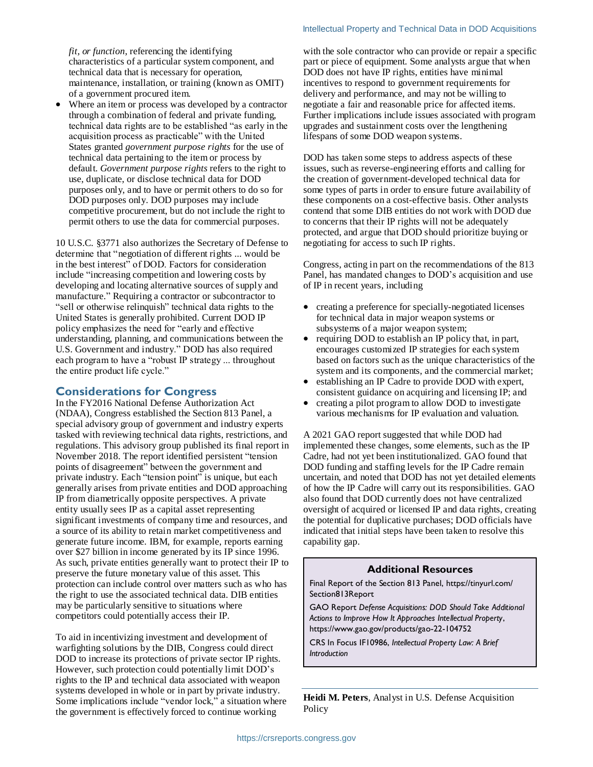#### Intellectual Property and Technical Data in DOD Acquisitions

*fit, or function*, referencing the identifying characteristics of a particular system component, and technical data that is necessary for operation, maintenance, installation, or training (known as OMIT) of a government procured item.

 Where an item or process was developed by a contractor through a combination of federal and private funding, technical data rights are to be established "as early in the acquisition process as practicable" with the United States granted *government purpose rights* for the use of technical data pertaining to the item or process by default. *Government purpose rights* refers to the right to use, duplicate, or disclose technical data for DOD purposes only, and to have or permit others to do so for DOD purposes only. DOD purposes may include competitive procurement, but do not include the right to permit others to use the data for commercial purposes.

10 U.S.C. §3771 also authorizes the Secretary of Defense to determine that "negotiation of different rights ... would be in the best interest" of DOD. Factors for consideration include "increasing competition and lowering costs by developing and locating alternative sources of supply and manufacture." Requiring a contractor or subcontractor to "sell or otherwise relinquish" technical data rights to the United States is generally prohibited. Current DOD IP policy emphasizes the need for "early and effective understanding, planning, and communications between the U.S. Government and industry." DOD has also required each program to have a "robust IP strategy ... throughout the entire product life cycle."

### **Considerations for Congress**

In the FY2016 National Defense Authorization Act (NDAA), Congress established the Section 813 Panel, a special advisory group of government and industry experts tasked with reviewing technical data rights, restrictions, and regulations. This advisory group published its final report in November 2018. The report identified persistent "tension points of disagreement" between the government and private industry. Each "tension point" is unique, but each generally arises from private entities and DOD approaching IP from diametrically opposite perspectives. A private entity usually sees IP as a capital asset representing significant investments of company time and resources, and a source of its ability to retain market competitiveness and generate future income. IBM, for example, reports earning over \$27 billion in income generated by its IP since 1996. As such, private entities generally want to protect their IP to preserve the future monetary value of this asset. This protection can include control over matters such as who has the right to use the associated technical data. DIB entities may be particularly sensitive to situations where competitors could potentially access their IP.

To aid in incentivizing investment and development of warfighting solutions by the DIB, Congress could direct DOD to increase its protections of private sector IP rights. However, such protection could potentially limit DOD's rights to the IP and technical data associated with weapon systems developed in whole or in part by private industry. Some implications include "vendor lock," a situation where the government is effectively forced to continue working

with the sole contractor who can provide or repair a specific part or piece of equipment. Some analysts argue that when DOD does not have IP rights, entities have minimal incentives to respond to government requirements for delivery and performance, and may not be willing to negotiate a fair and reasonable price for affected items. Further implications include issues associated with program upgrades and sustainment costs over the lengthening lifespans of some DOD weapon systems.

DOD has taken some steps to address aspects of these issues, such as reverse-engineering efforts and calling for the creation of government-developed technical data for some types of parts in order to ensure future availability of these components on a cost-effective basis. Other analysts contend that some DIB entities do not work with DOD due to concerns that their IP rights will not be adequately protected, and argue that DOD should prioritize buying or negotiating for access to such IP rights.

Congress, acting in part on the recommendations of the 813 Panel, has mandated changes to DOD's acquisition and use of IP in recent years, including

- creating a preference for specially-negotiated licenses for technical data in major weapon systems or subsystems of a major weapon system;
- requiring DOD to establish an IP policy that, in part, encourages customized IP strategies for each system based on factors such as the unique characteristics of the system and its components, and the commercial market;
- establishing an IP Cadre to provide DOD with expert, consistent guidance on acquiring and licensing IP; and
- creating a pilot program to allow DOD to investigate various mechanisms for IP evaluation and valuation.

A 2021 GAO report suggested that while DOD had implemented these changes, some elements, such as the IP Cadre, had not yet been institutionalized. GAO found that DOD funding and staffing levels for the IP Cadre remain uncertain, and noted that DOD has not yet detailed elements of how the IP Cadre will carry out its responsibilities. GAO also found that DOD currently does not have centralized oversight of acquired or licensed IP and data rights, creating the potential for duplicative purchases; DOD officials have indicated that initial steps have been taken to resolve this capability gap.

#### **Additional Resources**

Final Report of the Section 813 Panel, https://tinyurl.com/ Section813Report

GAO Report *Defense Acquisitions: DOD Should Take Additional Actions to Improve How It Approaches Intellectual Property*, https://www.gao.gov/products/gao-22-104752

CRS In Focus IF10986, *Intellectual Property Law: A Brief Introduction*

**Heidi M. Peters**, Analyst in U.S. Defense Acquisition Policy